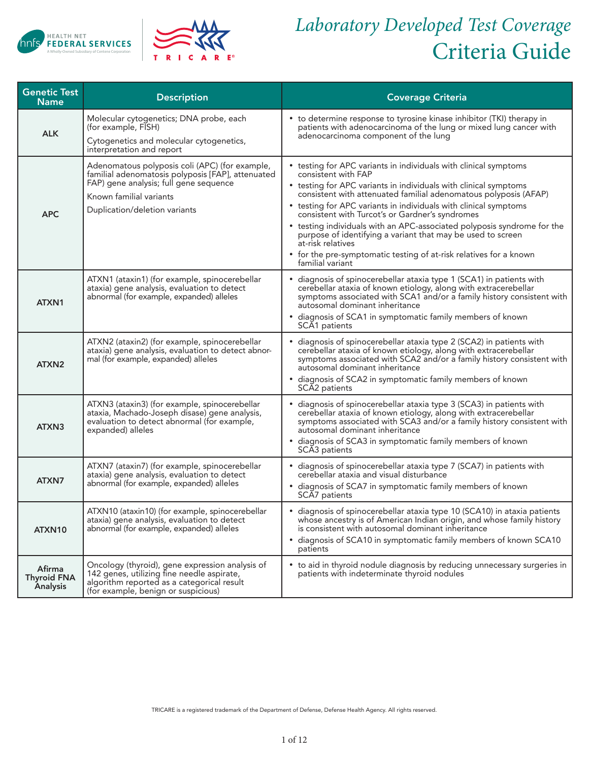



## *Laboratory Developed Test Coverage* Criteria Guide

| <b>Genetic Test</b><br><b>Name</b>       | <b>Description</b>                                                                                                                                                                                        | <b>Coverage Criteria</b>                                                                                                                                                                                                                                                                                                                                                                                                                                                                                                                                                                                        |
|------------------------------------------|-----------------------------------------------------------------------------------------------------------------------------------------------------------------------------------------------------------|-----------------------------------------------------------------------------------------------------------------------------------------------------------------------------------------------------------------------------------------------------------------------------------------------------------------------------------------------------------------------------------------------------------------------------------------------------------------------------------------------------------------------------------------------------------------------------------------------------------------|
| <b>ALK</b>                               | Molecular cytogenetics; DNA probe, each<br>(for example, FISH)<br>Cytogenetics and molecular cytogenetics,<br>interpretation and report                                                                   | • to determine response to tyrosine kinase inhibitor (TKI) therapy in<br>patients with adenocarcinoma of the lung or mixed lung cancer with<br>adenocarcinoma component of the lung                                                                                                                                                                                                                                                                                                                                                                                                                             |
| <b>APC</b>                               | Adenomatous polyposis coli (APC) (for example,<br>familial adenomatosis polyposis [FAP], attenuated<br>FAP) gene analysis; full gene sequence<br>Known familial variants<br>Duplication/deletion variants | • testing for APC variants in individuals with clinical symptoms<br>consistent with FAP<br>• testing for APC variants in individuals with clinical symptoms<br>consistent with attenuated familial adenomatous polyposis (AFAP)<br>• testing for APC variants in individuals with clinical symptoms<br>consistent with Turcot's or Gardner's syndromes<br>• testing individuals with an APC-associated polyposis syndrome for the<br>purpose of identifying a variant that may be used to screen<br>at-risk relatives<br>• for the pre-symptomatic testing of at-risk relatives for a known<br>familial variant |
| ATXN1                                    | ATXN1 (ataxin1) (for example, spinocerebellar<br>ataxia) gene analysis, evaluation to detect<br>abnormal (for example, expanded) alleles                                                                  | • diagnosis of spinocerebellar ataxia type 1 (SCA1) in patients with<br>cerebellar ataxia of known etiology, along with extracerebellar<br>symptoms associated with SCA1 and/or a family history consistent with<br>autosomal dominant inheritance<br>• diagnosis of SCA1 in symptomatic family members of known<br>SCA1 patients                                                                                                                                                                                                                                                                               |
| ATXN2                                    | ATXN2 (ataxin2) (for example, spinocerebellar<br>ataxia) gene analysis, evaluation to detect abnor-<br>mal (for example, expanded) alleles                                                                | • diagnosis of spinocerebellar ataxia type 2 (SCA2) in patients with<br>cerebellar ataxia of known etiology, along with extracerebellar<br>symptoms associated with SCA2 and/or a family history consistent with<br>autosomal dominant inheritance<br>• diagnosis of SCA2 in symptomatic family members of known<br>SCA2 patients                                                                                                                                                                                                                                                                               |
| ATXN3                                    | ATXN3 (ataxin3) (for example, spinocerebellar<br>ataxia, Machado-Joseph disase) gene analysis,<br>evaluation to detect abnormal (for example,<br>expanded) alleles                                        | • diagnosis of spinocerebellar ataxia type 3 (SCA3) in patients with<br>cerebellar ataxia of known etiology, along with extracerebellar<br>symptoms associated with SCA3 and/or a family history consistent with<br>autosomal dominant inheritance<br>• diagnosis of SCA3 in symptomatic family members of known<br>SCA <sub>3</sub> patients                                                                                                                                                                                                                                                                   |
| ATXN7                                    | ATXN7 (ataxin7) (for example, spinocerebellar<br>ataxia) gene analysis, evaluation to detect<br>abnormal (for example, expanded) alleles                                                                  | • diagnosis of spinocerebellar ataxia type 7 (SCA7) in patients with<br>cerebellar ataxia and visual disturbance<br>· diagnosis of SCA7 in symptomatic family members of known<br>SCA7 patients                                                                                                                                                                                                                                                                                                                                                                                                                 |
| ATXN10                                   | ATXN10 (ataxin10) (for example, spinocerebellar<br>ataxia) gene analysis, evaluation to detect<br>abnormal (for example, expanded) alleles                                                                | • diagnosis of spinocerebellar ataxia type 10 (SCA10) in ataxia patients<br>whose ancestry is of American Indian origin, and whose family history<br>is consistent with autosomal dominant inheritance<br>• diagnosis of SCA10 in symptomatic family members of known SCA10<br>patients                                                                                                                                                                                                                                                                                                                         |
| Afirma<br><b>Thyroid FNA</b><br>Analysis | Oncology (thyroid), gene expression analysis of<br>142 genes, utilizing fine needle aspirate,<br>algorithm reported as a categorical result<br>(for example, benign or suspicious)                        | • to aid in thyroid nodule diagnosis by reducing unnecessary surgeries in<br>patients with indeterminate thyroid nodules                                                                                                                                                                                                                                                                                                                                                                                                                                                                                        |

TRICARE is a registered trademark of the Department of Defense, Defense Health Agency. All rights reserved.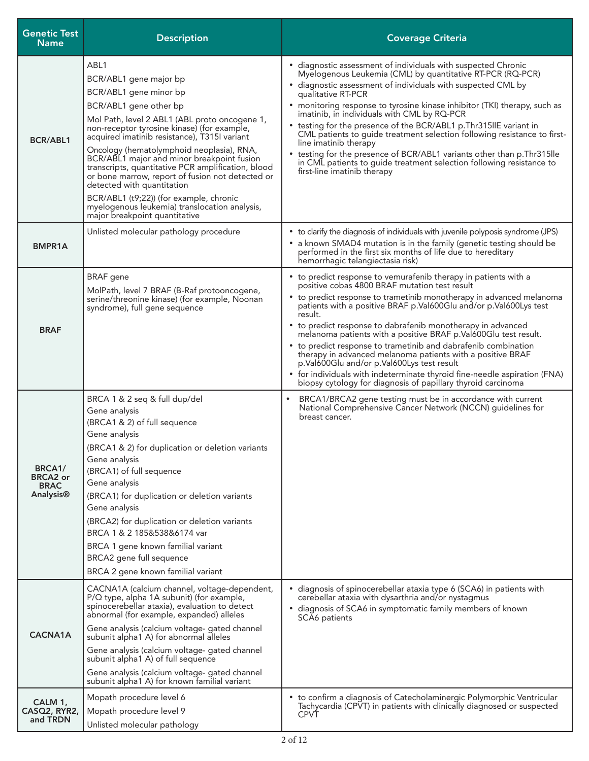| <b>Genetic Test</b><br><b>Name</b>                                 | <b>Description</b>                                                                                                                                                                                                                                                                                                                                                                                                                                                                                                                                                                                 | <b>Coverage Criteria</b>                                                                                                                                                                                                                                                                                                                                                                                                                                                                                                                                                                                                                                                                                                              |
|--------------------------------------------------------------------|----------------------------------------------------------------------------------------------------------------------------------------------------------------------------------------------------------------------------------------------------------------------------------------------------------------------------------------------------------------------------------------------------------------------------------------------------------------------------------------------------------------------------------------------------------------------------------------------------|---------------------------------------------------------------------------------------------------------------------------------------------------------------------------------------------------------------------------------------------------------------------------------------------------------------------------------------------------------------------------------------------------------------------------------------------------------------------------------------------------------------------------------------------------------------------------------------------------------------------------------------------------------------------------------------------------------------------------------------|
| <b>BCR/ABL1</b>                                                    | ABL1<br>BCR/ABL1 gene major bp<br>BCR/ABL1 gene minor bp<br>BCR/ABL1 gene other bp<br>Mol Path, level 2 ABL1 (ABL proto oncogene 1,<br>non-receptor tyrosine kinase) (for example,<br>acquired imatinib resistance), T315I variant<br>Oncology (hematolymphoid neoplasia), RNA,<br>BCR/ABL1 major and minor breakpoint fusion<br>transcripts, quantitative PCR amplification, blood<br>or bone marrow, report of fusion not detected or<br>detected with quantitation<br>BCR/ABL1 (t9;22)) (for example, chronic<br>myelogenous leukemia) translocation analysis,<br>major breakpoint quantitative | • diagnostic assessment of individuals with suspected Chronic<br>Myelogenous Leukemia (CML) by quantitative RT-PCR (RQ-PCR)<br>• diagnostic assessment of individuals with suspected CML by<br>qualitative RT-PCR<br>• monitoring response to tyrosine kinase inhibitor (TKI) therapy, such as<br>imatinib, in individuals with CML by RQ-PCR<br>• testing for the presence of the BCR/ABL1 p. Thr315llE variant in<br>CML patients to guide treatment selection following resistance to first-<br>line imatinib therapy<br>• testing for the presence of BCR/ABL1 variants other than p. Thr 315lle<br>in CML patients to guide treatment selection following resistance to<br>first-line imatinib therapy                           |
| <b>BMPR1A</b>                                                      | Unlisted molecular pathology procedure                                                                                                                                                                                                                                                                                                                                                                                                                                                                                                                                                             | • to clarify the diagnosis of individuals with juvenile polyposis syndrome (JPS)<br>• a known SMAD4 mutation is in the family (genetic testing should be<br>performed in the first six months of life due to hereditary<br>hemorrhagic telangiectasia risk)                                                                                                                                                                                                                                                                                                                                                                                                                                                                           |
| <b>BRAF</b>                                                        | <b>BRAF</b> gene<br>MolPath, level 7 BRAF (B-Raf protooncogene,<br>serine/threonine kinase) (for example, Noonan<br>syndrome), full gene sequence                                                                                                                                                                                                                                                                                                                                                                                                                                                  | • to predict response to vemurafenib therapy in patients with a<br>positive cobas 4800 BRAF mutation test result<br>• to predict response to trametinib monotherapy in advanced melanoma<br>patients with a positive BRAF p.Val600Glu and/or p.Val600Lys test<br>result.<br>• to predict response to dabrafenib monotherapy in advanced<br>melanoma patients with a positive BRAF p.Val600Glu test result.<br>• to predict response to trametinib and dabrafenib combination<br>therapy in advanced melanoma patients with a positive BRAF<br>p.Val600Glu and/or p.Val600Lys test result<br>• for individuals with indeterminate thyroid fine-needle aspiration (FNA)<br>biopsy cytology for diagnosis of papillary thyroid carcinoma |
| BRCA <sub>1</sub> /<br><b>BRCA2</b> or<br><b>BRAC</b><br>Analysis® | BRCA 1 & 2 seq & full dup/del<br>Gene analysis<br>(BRCA1 & 2) of full sequence<br>Gene analysis<br>(BRCA1 & 2) for duplication or deletion variants<br>Gene analysis<br>(BRCA1) of full sequence<br>Gene analysis<br>(BRCA1) for duplication or deletion variants<br>Gene analysis<br>(BRCA2) for duplication or deletion variants<br>BRCA 1 & 2 185&538&6174 var<br>BRCA 1 gene known familial variant<br>BRCA2 gene full sequence<br>BRCA 2 gene known familial variant                                                                                                                          | BRCA1/BRCA2 gene testing must be in accordance with current<br>٠<br>National Comprehensive Cancer Network (NCCN) guidelines for<br>breast cancer.                                                                                                                                                                                                                                                                                                                                                                                                                                                                                                                                                                                     |
| <b>CACNA1A</b>                                                     | CACNA1A (calcium channel, voltage-dependent,<br>P/Q type, alpha 1A subunit) (for example,<br>spinocerebellar ataxia), evaluation to detect<br>abnormal (for example, expanded) alleles<br>Gene analysis (calcium voltage- gated channel<br>subunit alpha1 A) for abnormal alleles<br>Gene analysis (calcium voltage- gated channel<br>subunit alpha1 A) of full sequence<br>Gene analysis (calcium voltage- gated channel<br>subunit alpha1 A) for known familial variant                                                                                                                          | • diagnosis of spinocerebellar ataxia type 6 (SCA6) in patients with<br>cerebellar ataxia with dysarthria and/or nystagmus<br>• diagnosis of SCA6 in symptomatic family members of known<br>SCA6 patients                                                                                                                                                                                                                                                                                                                                                                                                                                                                                                                             |
| CALM 1,<br>CASQ2, RYR2,<br>and TRDN                                | Mopath procedure level 6<br>Mopath procedure level 9<br>Unlisted molecular pathology                                                                                                                                                                                                                                                                                                                                                                                                                                                                                                               | • to confirm a diagnosis of Catecholaminergic Polymorphic Ventricular<br>Tachycardia (CPVT) in patients with clinically diagnosed or suspected<br><b>CPVT</b>                                                                                                                                                                                                                                                                                                                                                                                                                                                                                                                                                                         |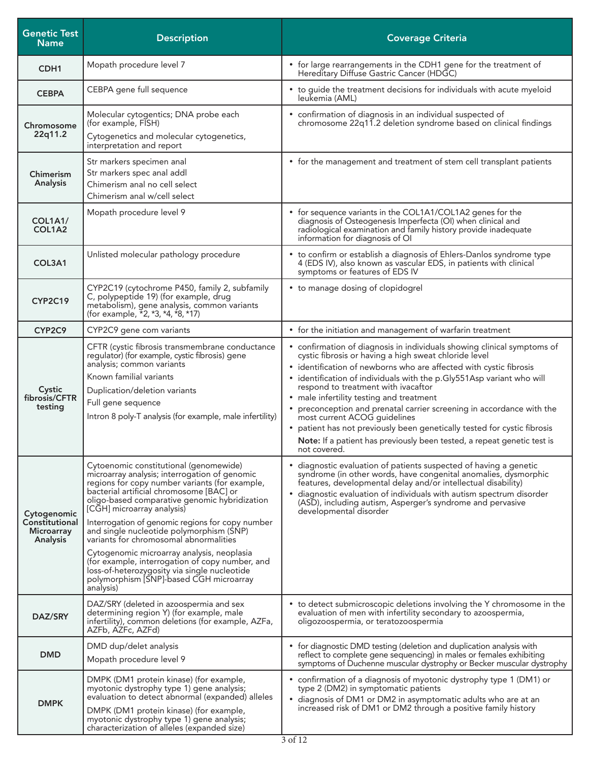| <b>Genetic Test</b><br><b>Name</b>                      | <b>Description</b>                                                                                                                                                                                                                                                                                                                                                                                                                                                                                                                                                                                                      | <b>Coverage Criteria</b>                                                                                                                                                                                                                                                                                                                                                                                                                                                                                                                                                                                                                         |
|---------------------------------------------------------|-------------------------------------------------------------------------------------------------------------------------------------------------------------------------------------------------------------------------------------------------------------------------------------------------------------------------------------------------------------------------------------------------------------------------------------------------------------------------------------------------------------------------------------------------------------------------------------------------------------------------|--------------------------------------------------------------------------------------------------------------------------------------------------------------------------------------------------------------------------------------------------------------------------------------------------------------------------------------------------------------------------------------------------------------------------------------------------------------------------------------------------------------------------------------------------------------------------------------------------------------------------------------------------|
| CDH <sub>1</sub>                                        | Mopath procedure level 7                                                                                                                                                                                                                                                                                                                                                                                                                                                                                                                                                                                                | • for large rearrangements in the CDH1 gene for the treatment of<br>Hereditary Diffuse Gastric Cancer (HDGC)                                                                                                                                                                                                                                                                                                                                                                                                                                                                                                                                     |
| <b>CEBPA</b>                                            | CEBPA gene full sequence                                                                                                                                                                                                                                                                                                                                                                                                                                                                                                                                                                                                | • to guide the treatment decisions for individuals with acute myeloid<br>leukemia (AML)                                                                                                                                                                                                                                                                                                                                                                                                                                                                                                                                                          |
| Chromosome<br>22q11.2                                   | Molecular cytogentics; DNA probe each<br>(for example, FISH)<br>Cytogenetics and molecular cytogenetics,                                                                                                                                                                                                                                                                                                                                                                                                                                                                                                                | • confirmation of diagnosis in an individual suspected of<br>chromosome 22q11.2 deletion syndrome based on clinical findings                                                                                                                                                                                                                                                                                                                                                                                                                                                                                                                     |
| Chimerism<br>Analysis                                   | interpretation and report<br>Str markers specimen anal<br>Str markers spec anal addl<br>Chimerism anal no cell select<br>Chimerism anal w/cell select                                                                                                                                                                                                                                                                                                                                                                                                                                                                   | • for the management and treatment of stem cell transplant patients                                                                                                                                                                                                                                                                                                                                                                                                                                                                                                                                                                              |
| <b>COL1A1/</b><br>COL1A2                                | Mopath procedure level 9                                                                                                                                                                                                                                                                                                                                                                                                                                                                                                                                                                                                | • for sequence variants in the COL1A1/COL1A2 genes for the<br>diagnosis of Osteogenesis Imperfecta (OI) when clinical and<br>radiological examination and family history provide inadequate<br>information for diagnosis of OI                                                                                                                                                                                                                                                                                                                                                                                                                   |
| COL3A1                                                  | Unlisted molecular pathology procedure                                                                                                                                                                                                                                                                                                                                                                                                                                                                                                                                                                                  | • to confirm or establish a diagnosis of Ehlers-Danlos syndrome type<br>4 (EDS IV), also known as vascular EDS, in patients with clinical<br>symptoms or features of EDS IV                                                                                                                                                                                                                                                                                                                                                                                                                                                                      |
| CYP2C19                                                 | CYP2C19 (cytochrome P450, family 2, subfamily<br>C, polypeptide 19) (for example, drug<br>metabolism), gene analysis, common variants<br>(for example, $\overline{1}2$ , $\overline{2}$ , $\overline{3}$ , $\overline{4}$ , $\overline{1}8$ , $\overline{1}7$ )                                                                                                                                                                                                                                                                                                                                                         | • to manage dosing of clopidogrel                                                                                                                                                                                                                                                                                                                                                                                                                                                                                                                                                                                                                |
| CYP2C9                                                  | CYP2C9 gene com variants                                                                                                                                                                                                                                                                                                                                                                                                                                                                                                                                                                                                | • for the initiation and management of warfarin treatment                                                                                                                                                                                                                                                                                                                                                                                                                                                                                                                                                                                        |
| Cystic<br>fibrosis/CFTR<br>testing                      | CFTR (cystic fibrosis transmembrane conductance<br>regulator) (for example, cystic fibrosis) gene<br>analysis; common variants<br>Known familial variants<br>Duplication/deletion variants<br>Full gene sequence<br>Intron 8 poly-T analysis (for example, male infertility)                                                                                                                                                                                                                                                                                                                                            | • confirmation of diagnosis in individuals showing clinical symptoms of<br>cystic fibrosis or having a high sweat chloride level<br>• identification of newborns who are affected with cystic fibrosis<br>• identification of individuals with the p.Gly551Asp variant who will<br>respond to treatment with ivacaftor<br>• male infertility testing and treatment<br>preconception and prenatal carrier screening in accordance with the<br>most current ACOG quidelines<br>• patient has not previously been genetically tested for cystic fibrosis<br>Note: If a patient has previously been tested, a repeat genetic test is<br>not covered. |
| Cytogenomic<br>Constitutional<br>Microarray<br>Analysis | Cytoenomic constitutional (genomewide)<br>microarray analysis; interrogation of genomic<br>regions for copy number variants (for example,<br>bacterial artificial chromosome [BAC] or<br>oligo-based comparative genomic hybridization<br>[CGH] microarray analysis)<br>Interrogation of genomic regions for copy number<br>and single nucleotide polymorphism (SNP)<br>variants for chromosomal abnormalities<br>Cytogenomic microarray analysis, neoplasia<br>(for example, interrogation of copy number, and<br>loss-of-heterozygosity via single nucleotide<br>polymorphism [SNP]-based CGH microarray<br>analysis) | • diagnostic evaluation of patients suspected of having a genetic<br>syndrome (in other words, have congenital anomalies, dysmorphic<br>features, developmental delay and/or intellectual disability)<br>• diagnostic evaluation of individuals with autism spectrum disorder<br>(ASD), including autism, Asperger's syndrome and pervasive<br>developmental disorder                                                                                                                                                                                                                                                                            |
| DAZ/SRY                                                 | DAZ/SRY (deleted in azoospermia and sex<br>determining region Y) (for example, male<br>infertility), common deletions (for example, AZFa,<br>AZFb, AZFc, AZFd)                                                                                                                                                                                                                                                                                                                                                                                                                                                          | • to detect submicroscopic deletions involving the Y chromosome in the<br>evaluation of men with infertility secondary to azoospermia,<br>oligozoospermia, or teratozoospermia                                                                                                                                                                                                                                                                                                                                                                                                                                                                   |
| <b>DMD</b>                                              | DMD dup/delet analysis<br>Mopath procedure level 9                                                                                                                                                                                                                                                                                                                                                                                                                                                                                                                                                                      | • for diagnostic DMD testing (deletion and duplication analysis with<br>reflect to complete gene sequencing) in males or females exhibiting<br>symptoms of Duchenne muscular dystrophy or Becker muscular dystrophy                                                                                                                                                                                                                                                                                                                                                                                                                              |
| <b>DMPK</b>                                             | DMPK (DM1 protein kinase) (for example,<br>myotonic dystrophy type 1) gene analysis;<br>evaluation to detect abnormal (expanded) alleles<br>DMPK (DM1 protein kinase) (for example,<br>myotonic dystrophy type 1) gene analysis;<br>characterization of alleles (expanded size)                                                                                                                                                                                                                                                                                                                                         | • confirmation of a diagnosis of myotonic dystrophy type 1 (DM1) or<br>type 2 (DM2) in symptomatic patients<br>• diagnosis of DM1 or DM2 in asymptomatic adults who are at an<br>increased risk of DM1 or DM2 through a positive family history                                                                                                                                                                                                                                                                                                                                                                                                  |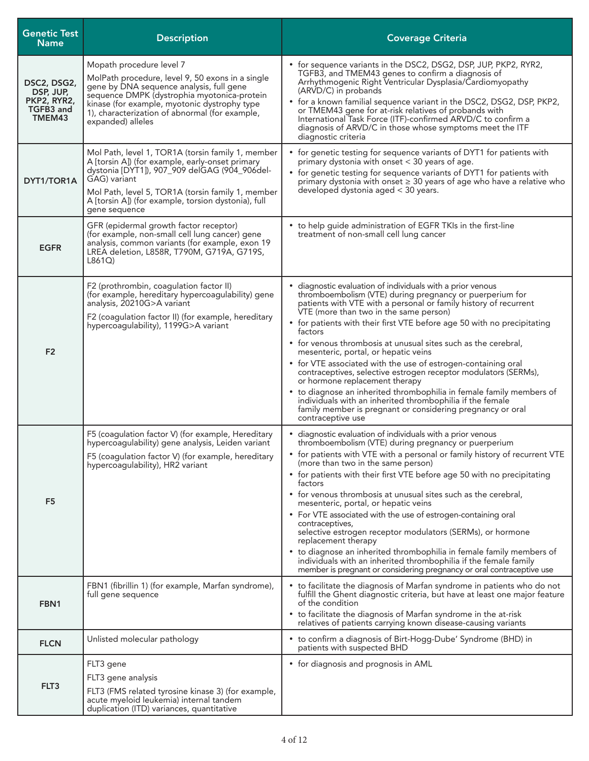| <b>Genetic Test</b><br><b>Name</b>                             | <b>Description</b>                                                                                                                                                                                                                                                                                 | <b>Coverage Criteria</b>                                                                                                                                                                                                                                                                                                                                                                                                                                                                                                                                                                                                                                                                                                                                                                                                             |
|----------------------------------------------------------------|----------------------------------------------------------------------------------------------------------------------------------------------------------------------------------------------------------------------------------------------------------------------------------------------------|--------------------------------------------------------------------------------------------------------------------------------------------------------------------------------------------------------------------------------------------------------------------------------------------------------------------------------------------------------------------------------------------------------------------------------------------------------------------------------------------------------------------------------------------------------------------------------------------------------------------------------------------------------------------------------------------------------------------------------------------------------------------------------------------------------------------------------------|
| DSC2, DSG2,<br>DSP, JUP,<br>PKP2, RYR2,<br>TGFB3 and<br>TMEM43 | Mopath procedure level 7<br>MolPath procedure, level 9, 50 exons in a single<br>gene by DNA sequence analysis, full gene<br>sequence DMPK (dystrophia myotonica-protein<br>kinase (for example, myotonic dystrophy type<br>1), characterization of abnormal (for example,<br>expanded) alleles     | • for sequence variants in the DSC2, DSG2, DSP, JUP, PKP2, RYR2,<br>TGFB3, and TMEM43 genes to confirm a diagnosis of<br>Arrhythmogenic Right Ventricular Dysplasia/Cardiomyopathy<br>(ARVD/C) in probands<br>• for a known familial sequence variant in the DSC2, DSG2, DSP, PKP2,<br>or TMEM43 gene for at-risk relatives of probands with<br>International Task Force (ITF)-confirmed ARVD/C to confirm a<br>diagnosis of ARVD/C in those whose symptoms meet the ITF<br>diagnostic criteria                                                                                                                                                                                                                                                                                                                                      |
| DYT1/TOR1A                                                     | Mol Path, level 1, TOR1A (torsin family 1, member<br>A [torsin A]) (for example, early-onset primary<br>dystonia [DYT1]), 907_909 delGAG (904_906del-<br>GAG) variant<br>Mol Path, level 5, TOR1A (torsin family 1, member<br>A [torsin A]) (for example, torsion dystonia), full<br>gene sequence | • for genetic testing for sequence variants of DYT1 for patients with<br>primary dystonia with onset < 30 years of age.<br>• for genetic testing for sequence variants of DYT1 for patients with<br>primary dystonia with onset $\geq 30$ years of age who have a relative who<br>developed dystonia aged < 30 years.                                                                                                                                                                                                                                                                                                                                                                                                                                                                                                                |
| <b>EGFR</b>                                                    | GFR (epidermal growth factor receptor)<br>(for example, non-small cell lung cancer) gene<br>analysis, common variants (for example, exon 19<br>LREA deletion, L858R, T790M, G719A, G719S,<br>L861Q                                                                                                 | • to help guide administration of EGFR TKIs in the first-line<br>treatment of non-small cell lung cancer                                                                                                                                                                                                                                                                                                                                                                                                                                                                                                                                                                                                                                                                                                                             |
| F <sub>2</sub>                                                 | F2 (prothrombin, coagulation factor II)<br>(for example, hereditary hypercoagulability) gene<br>analysis, 20210G>A variant<br>F2 (coagulation factor II) (for example, hereditary<br>hypercoagulability), 1199G>A variant                                                                          | • diagnostic evaluation of individuals with a prior venous<br>thromboembolism (VTE) during pregnancy or puerperium for<br>patients with VTE with a personal or family history of recurrent<br>VTE (more than two in the same person)<br>• for patients with their first VTE before age 50 with no precipitating<br>factors<br>• for venous thrombosis at unusual sites such as the cerebral,<br>mesenteric, portal, or hepatic veins<br>• for VTE associated with the use of estrogen-containing oral<br>contraceptives, selective estrogen receptor modulators (SERMs),<br>or hormone replacement therapy<br>• to diagnose an inherited thrombophilia in female family members of<br>individuals with an inherited thrombophilia if the female<br>family member is pregnant or considering pregnancy or oral<br>contraceptive use   |
| F <sub>5</sub>                                                 | F5 (coagulation factor V) (for example, Hereditary<br>hypercoagulability) gene analysis, Leiden variant<br>F5 (coagulation factor V) (for example, hereditary<br>hypercoagulability), HR2 variant                                                                                                  | • diagnostic evaluation of individuals with a prior venous<br>thromboembolism (VTE) during pregnancy or puerperium<br>• for patients with VTE with a personal or family history of recurrent VTE<br>(more than two in the same person)<br>• for patients with their first VTE before age 50 with no precipitating<br>factors<br>• for venous thrombosis at unusual sites such as the cerebral,<br>mesenteric, portal, or hepatic veins<br>• For VTE associated with the use of estrogen-containing oral<br>contraceptives,<br>selective estrogen receptor modulators (SERMs), or hormone<br>replacement therapy<br>• to diagnose an inherited thrombophilia in female family members of<br>individuals with an inherited thrombophilia if the female family<br>member is pregnant or considering pregnancy or oral contraceptive use |
| FBN <sub>1</sub>                                               | FBN1 (fibrillin 1) (for example, Marfan syndrome),<br>full gene sequence                                                                                                                                                                                                                           | • to facilitate the diagnosis of Marfan syndrome in patients who do not<br>fulfill the Ghent diagnostic criteria, but have at least one major feature<br>of the condition<br>• to facilitate the diagnosis of Marfan syndrome in the at-risk<br>relatives of patients carrying known disease-causing variants                                                                                                                                                                                                                                                                                                                                                                                                                                                                                                                        |
| <b>FLCN</b>                                                    | Unlisted molecular pathology                                                                                                                                                                                                                                                                       | • to confirm a diagnosis of Birt-Hogg-Dube' Syndrome (BHD) in<br>patients with suspected BHD                                                                                                                                                                                                                                                                                                                                                                                                                                                                                                                                                                                                                                                                                                                                         |
| FLT3                                                           | FLT3 gene<br>FLT3 gene analysis<br>FLT3 (FMS related tyrosine kinase 3) (for example,<br>acute myeloid leukemia) internal tandem<br>duplication (ITD) variances, quantitative                                                                                                                      | • for diagnosis and prognosis in AML                                                                                                                                                                                                                                                                                                                                                                                                                                                                                                                                                                                                                                                                                                                                                                                                 |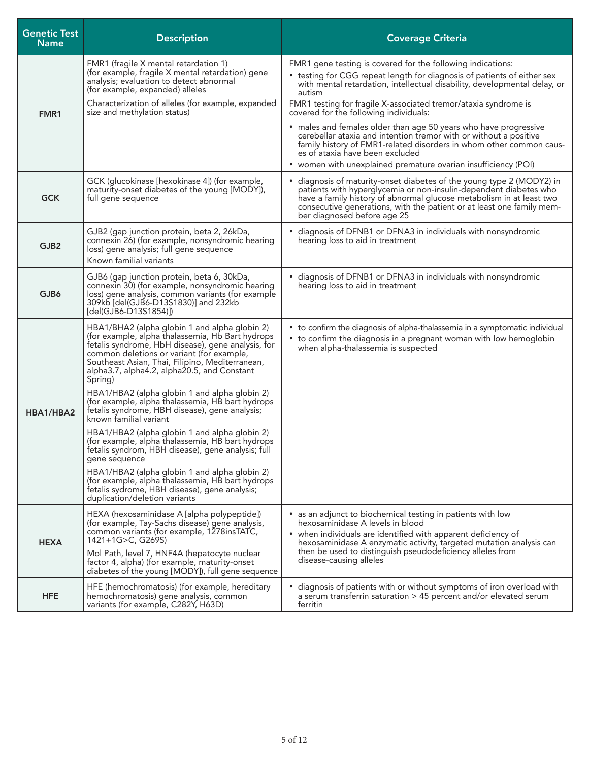| <b>Genetic Test</b><br><b>Name</b> | <b>Description</b>                                                                                                                                                                                                                                                                                                 | <b>Coverage Criteria</b>                                                                                                                                                                                                                                                                                                   |
|------------------------------------|--------------------------------------------------------------------------------------------------------------------------------------------------------------------------------------------------------------------------------------------------------------------------------------------------------------------|----------------------------------------------------------------------------------------------------------------------------------------------------------------------------------------------------------------------------------------------------------------------------------------------------------------------------|
|                                    | FMR1 (fragile X mental retardation 1)<br>(for example, fragile X mental retardation) gene<br>analysis; evaluation to detect abnormal<br>(for example, expanded) alleles                                                                                                                                            | FMR1 gene testing is covered for the following indications:<br>• testing for CGG repeat length for diagnosis of patients of either sex<br>with mental retardation, intellectual disability, developmental delay, or<br>autism                                                                                              |
| FMR1                               | Characterization of alleles (for example, expanded<br>size and methylation status)                                                                                                                                                                                                                                 | FMR1 testing for fragile X-associated tremor/ataxia syndrome is<br>covered for the following individuals:                                                                                                                                                                                                                  |
|                                    |                                                                                                                                                                                                                                                                                                                    | • males and females older than age 50 years who have progressive<br>cerebellar ataxia and intention tremor with or without a positive<br>family history of FMR1-related disorders in whom other common caus-<br>es of ataxia have been excluded                                                                            |
|                                    |                                                                                                                                                                                                                                                                                                                    | • women with unexplained premature ovarian insufficiency (POI)                                                                                                                                                                                                                                                             |
| <b>GCK</b>                         | GCK (glucokinase [hexokinase 4]) (for example,<br>maturity-onset diabetes of the young [MODY]),<br>full gene sequence                                                                                                                                                                                              | • diagnosis of maturity-onset diabetes of the young type 2 (MODY2) in<br>patients with hyperglycemia or non-insulin-dependent diabetes who<br>have a family history of abnormal glucose metabolism in at least two<br>consecutive generations, with the patient or at least one family mem-<br>ber diagnosed before age 25 |
| GJB <sub>2</sub>                   | GJB2 (gap junction protein, beta 2, 26kDa,<br>connexin 26) (for example, nonsyndromic hearing<br>loss) gene analysis; full gene sequence<br>Known familial variants                                                                                                                                                | • diagnosis of DFNB1 or DFNA3 in individuals with nonsyndromic<br>hearing loss to aid in treatment                                                                                                                                                                                                                         |
| GJB6                               | GJB6 (gap junction protein, beta 6, 30kDa,<br>connexin 30) (for example, nonsyndromic hearing<br>loss) gene analysis, common variants (for example<br>309kb [del(GJB6-D13S1830)] and 232kb<br>[del(GJB6-D13S1854)])                                                                                                | • diagnosis of DFNB1 or DFNA3 in individuals with nonsyndromic<br>hearing loss to aid in treatment                                                                                                                                                                                                                         |
|                                    | HBA1/BHA2 (alpha globin 1 and alpha globin 2)<br>(for example, alpha thalassemia, Hb Bart hydrops)<br>fetalis syndrome, HbH disease), gene analysis, for<br>common deletions or variant (for example,<br>Southeast Asian, Thai, Filipino, Mediterranean,<br>alpha3.7, alpha4.2, alpha20.5, and Constant<br>Spring) | • to confirm the diagnosis of alpha-thalassemia in a symptomatic individual<br>• to confirm the diagnosis in a pregnant woman with low hemoglobin<br>when alpha-thalassemia is suspected                                                                                                                                   |
| HBA1/HBA2                          | HBA1/HBA2 (alpha globin 1 and alpha globin 2)<br>(for example, alpha thalassemia, HB bart hydrops<br>fetalis syndrome, HBH disease), gene analysis;<br>known familial variant                                                                                                                                      |                                                                                                                                                                                                                                                                                                                            |
|                                    | HBA1/HBA2 (alpha globin 1 and alpha globin 2)<br>(for example, alpha thalassemia, HB bart hydrops<br>fetalis syndrom, HBH disease), gene analysis; full<br>gene sequence                                                                                                                                           |                                                                                                                                                                                                                                                                                                                            |
|                                    | HBA1/HBA2 (alpha globin 1 and alpha globin 2)<br>(for example, alpha thalassemia, HB bart hydrops<br>fetalis sydrome, HBH disease), gene analysis;<br>duplication/deletion variants                                                                                                                                |                                                                                                                                                                                                                                                                                                                            |
| <b>HEXA</b>                        | HEXA (hexosaminidase A [alpha polypeptide])<br>(for example, Tay-Sachs disease) gene analysis,<br>common variants (for example, 1278insTATC,<br>1421+1G>C, G269S)                                                                                                                                                  | • as an adjunct to biochemical testing in patients with low<br>hexosaminidase A levels in blood<br>• when individuals are identified with apparent deficiency of                                                                                                                                                           |
|                                    | Mol Path, level 7, HNF4A (hepatocyte nuclear<br>factor 4, alpha) (for example, maturity-onset<br>diabetes of the young [MODY]), full gene sequence                                                                                                                                                                 | hexosaminidase A enzymatic activity, targeted mutation analysis can<br>then be used to distinguish pseudodeficiency alleles from<br>disease-causing alleles                                                                                                                                                                |
| <b>HFE</b>                         | HFE (hemochromatosis) (for example, hereditary<br>hemochromatosis) gene analysis, common<br>variants (for example, C282Y, H63D)                                                                                                                                                                                    | • diagnosis of patients with or without symptoms of iron overload with<br>a serum transferrin saturation > 45 percent and/or elevated serum<br>ferritin                                                                                                                                                                    |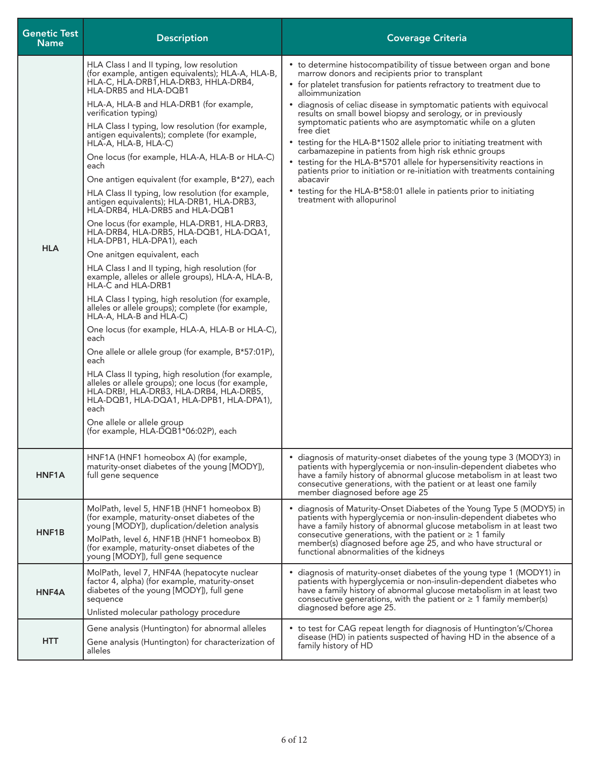| <b>Genetic Test</b><br><b>Name</b> | <b>Description</b>                                                                                                                                                                                                                                                                                                                                                                                                                                                                                                                                                                                                                                                                                                                                                                                                                                                                                                                                                                                                                                                                                                                                                                                                                                                                                                                                                                                                                                      | <b>Coverage Criteria</b>                                                                                                                                                                                                                                                                                                                                                                                                                                                                                                                                                                                                                                                                                                                                                                                                                            |
|------------------------------------|---------------------------------------------------------------------------------------------------------------------------------------------------------------------------------------------------------------------------------------------------------------------------------------------------------------------------------------------------------------------------------------------------------------------------------------------------------------------------------------------------------------------------------------------------------------------------------------------------------------------------------------------------------------------------------------------------------------------------------------------------------------------------------------------------------------------------------------------------------------------------------------------------------------------------------------------------------------------------------------------------------------------------------------------------------------------------------------------------------------------------------------------------------------------------------------------------------------------------------------------------------------------------------------------------------------------------------------------------------------------------------------------------------------------------------------------------------|-----------------------------------------------------------------------------------------------------------------------------------------------------------------------------------------------------------------------------------------------------------------------------------------------------------------------------------------------------------------------------------------------------------------------------------------------------------------------------------------------------------------------------------------------------------------------------------------------------------------------------------------------------------------------------------------------------------------------------------------------------------------------------------------------------------------------------------------------------|
| <b>HLA</b>                         | HLA Class I and II typing, low resolution<br>(for example, antigen equivalents); HLA-A, HLA-B,<br>HLA-C, HLA-DRB1, HLA-DRB3, HHLA-DRB4,<br>HLA-DRB5 and HLA-DQB1<br>HLA-A, HLA-B and HLA-DRB1 (for example,<br>verification typing)<br>HLA Class I typing, low resolution (for example,<br>antigen equivalents); complete (for example,<br>HLA-A, HLA-B, HLA-C)<br>One locus (for example, HLA-A, HLA-B or HLA-C)<br>each<br>One antigen equivalent (for example, B*27), each<br>HLA Class II typing, low resolution (for example,<br>antigen equivalents); HLA-DRB1, HLA-DRB3,<br>HLA-DRB4, HLA-DRB5 and HLA-DQB1<br>One locus (for example, HLA-DRB1, HLA-DRB3,<br>HLA-DRB4, HLA-DRB5, HLA-DQB1, HLA-DQA1,<br>HLA-DPB1, HLA-DPA1), each<br>One anitgen equivalent, each<br>HLA Class I and II typing, high resolution (for<br>example, alleles or allele groups), HLA-A, HLA-B,<br>HLA-C and HLA-DRB1<br>HLA Class I typing, high resolution (for example,<br>alleles or allele groups); complete (for example,<br>HLA-A, HLA-B and HLA-C)<br>One locus (for example, HLA-A, HLA-B or HLA-C),<br>each<br>One allele or allele group (for example, B*57:01P),<br>each<br>HLA Class II typing, high resolution (for example,<br>alleles or allele groups); one locus (for example,<br>HLA-DRB!, HLA-DRB3, HLA-DRB4, HLA-DRB5,<br>HLA-DQB1, HLA-DQA1, HLA-DPB1, HLA-DPA1),<br>each<br>One allele or allele group<br>(for example, HLA-DQB1*06:02P), each | • to determine histocompatibility of tissue between organ and bone<br>marrow donors and recipients prior to transplant<br>• for platelet transfusion for patients refractory to treatment due to<br>alloimmunization<br>• diagnosis of celiac disease in symptomatic patients with equivocal<br>results on small bowel biopsy and serology, or in previously<br>symptomatic patients who are asymptomatic while on a gluten<br>free diet<br>• testing for the HLA-B*1502 allele prior to initiating treatment with<br>carbamazepine in patients from high risk ethnic groups<br>• testing for the HLA-B*5701 allele for hypersensitivity reactions in<br>patients prior to initiation or re-initiation with treatments containing<br>abacavir<br>• testing for the HLA-B*58:01 allele in patients prior to initiating<br>treatment with allopurinol |
| HNF <sub>1</sub> A                 | HNF1A (HNF1 homeobox A) (for example,<br>maturity-onset diabetes of the young [MODY]),<br>full gene sequence                                                                                                                                                                                                                                                                                                                                                                                                                                                                                                                                                                                                                                                                                                                                                                                                                                                                                                                                                                                                                                                                                                                                                                                                                                                                                                                                            | • diagnosis of maturity-onset diabetes of the young type 3 (MODY3) in<br>patients with hyperglycemia or non-insulin-dependent diabetes who<br>have a family history of abnormal glucose metabolism in at least two<br>consecutive generations, with the patient or at least one family<br>member diagnosed before age 25                                                                                                                                                                                                                                                                                                                                                                                                                                                                                                                            |
| HNF1B                              | MolPath, level 5, HNF1B (HNF1 homeobox B)<br>(for example, maturity-onset diabetes of the<br>young [MODY]), duplication/deletion analysis<br>MolPath, level 6, HNF1B (HNF1 homeobox B)<br>(for example, maturity-onset diabetes of the<br>young [MODY]), full gene sequence                                                                                                                                                                                                                                                                                                                                                                                                                                                                                                                                                                                                                                                                                                                                                                                                                                                                                                                                                                                                                                                                                                                                                                             | • diagnosis of Maturity-Onset Diabetes of the Young Type 5 (MODY5) in<br>patients with hyperglycemia or non-insulin-dependent diabetes who<br>have a family history of abnormal glucose metabolism in at least two<br>consecutive generations, with the patient or $\geq 1$ family<br>member(s) diagnosed before age 25, and who have structural or<br>functional abnormalities of the kidneys                                                                                                                                                                                                                                                                                                                                                                                                                                                      |
| HNF4A                              | MolPath, level 7, HNF4A (hepatocyte nuclear<br>factor 4, alpha) (for example, maturity-onset<br>diabetes of the young [MODY]), full gene<br>sequence<br>Unlisted molecular pathology procedure                                                                                                                                                                                                                                                                                                                                                                                                                                                                                                                                                                                                                                                                                                                                                                                                                                                                                                                                                                                                                                                                                                                                                                                                                                                          | • diagnosis of maturity-onset diabetes of the young type 1 (MODY1) in<br>patients with hyperglycemia or non-insulin-dependent diabetes who<br>have a family history of abnormal glucose metabolism in at least two<br>consecutive generations, with the patient or $\geq 1$ family member(s)<br>diagnosed before age 25.                                                                                                                                                                                                                                                                                                                                                                                                                                                                                                                            |
| <b>HTT</b>                         | Gene analysis (Huntington) for abnormal alleles<br>Gene analysis (Huntington) for characterization of<br>alleles                                                                                                                                                                                                                                                                                                                                                                                                                                                                                                                                                                                                                                                                                                                                                                                                                                                                                                                                                                                                                                                                                                                                                                                                                                                                                                                                        | • to test for CAG repeat length for diagnosis of Huntington's/Chorea<br>disease (HD) in patients suspected of having HD in the absence of a<br>family history of HD                                                                                                                                                                                                                                                                                                                                                                                                                                                                                                                                                                                                                                                                                 |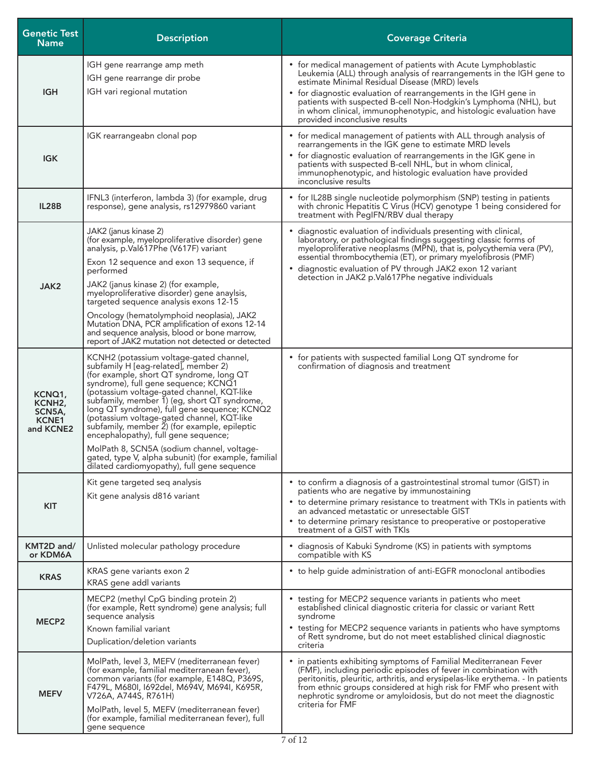| <b>Genetic Test</b><br><b>Name</b>                                   | <b>Description</b>                                                                                                                                                                                                                                                                                                                                                                                                                                                                                                                                                                                           | <b>Coverage Criteria</b>                                                                                                                                                                                                                                                                                                                                                                                                               |
|----------------------------------------------------------------------|--------------------------------------------------------------------------------------------------------------------------------------------------------------------------------------------------------------------------------------------------------------------------------------------------------------------------------------------------------------------------------------------------------------------------------------------------------------------------------------------------------------------------------------------------------------------------------------------------------------|----------------------------------------------------------------------------------------------------------------------------------------------------------------------------------------------------------------------------------------------------------------------------------------------------------------------------------------------------------------------------------------------------------------------------------------|
| <b>IGH</b>                                                           | IGH gene rearrange amp meth<br>IGH gene rearrange dir probe<br>IGH vari regional mutation                                                                                                                                                                                                                                                                                                                                                                                                                                                                                                                    | • for medical management of patients with Acute Lymphoblastic<br>Leukemia (ALL) through analysis of rearrangements in the IGH gene to<br>estimate Minimal Residual Disease (MRD) levels<br>• for diagnostic evaluation of rearrangements in the IGH gene in<br>patients with suspected B-cell Non-Hodgkin's Lymphoma (NHL), but<br>in whom clinical, immunophenotypic, and histologic evaluation have<br>provided inconclusive results |
| <b>IGK</b>                                                           | IGK rearrangeabn clonal pop                                                                                                                                                                                                                                                                                                                                                                                                                                                                                                                                                                                  | • for medical management of patients with ALL through analysis of<br>rearrangements in the IGK gene to estimate MRD levels<br>• for diagnostic evaluation of rearrangements in the IGK gene in<br>patients with suspected B-cell NHL, but in whom clinical,<br>immunophenotypic, and histologic evaluation have provided<br>inconclusive results                                                                                       |
| IL28B                                                                | IFNL3 (interferon, lambda 3) (for example, drug<br>response), gene analysis, rs12979860 variant                                                                                                                                                                                                                                                                                                                                                                                                                                                                                                              | • for IL28B single nucleotide polymorphism (SNP) testing in patients<br>with chronic Hepatitis C Virus (HCV) genotype 1 being considered for<br>treatment with PegIFN/RBV dual therapy                                                                                                                                                                                                                                                 |
| JAK2                                                                 | JAK2 (janus kinase 2)<br>(for example, myeloproliferative disorder) gene<br>analysis, p.Val617Phe (V617F) variant<br>Exon 12 sequence and exon 13 sequence, if<br>performed<br>JAK2 (janus kinase 2) (for example,<br>myeloproliferative disorder) gene anaylsis,<br>targeted sequence analysis exons 12-15<br>Oncology (hematolymphoid neoplasia), JAK2<br>Mutation DNA, PCR amplification of exons 12-14<br>and sequence analysis, blood or bone marrow,<br>report of JAK2 mutation not detected or detected                                                                                               | • diagnostic evaluation of individuals presenting with clinical,<br>laboratory, or pathological findings suggesting classic forms of<br>myeloproliferative neoplasms (MPN), that is, polycythemia vera (PV),<br>essential thrombocythemia (ET), or primary myelofibrosis (PMF)<br>• diagnostic evaluation of PV through JAK2 exon 12 variant<br>detection in JAK2 p.Val617Phe negative individuals                                     |
| KCNQ1,<br>KCNH <sub>2</sub> ,<br>SCN5A,<br><b>KCNE1</b><br>and KCNE2 | KCNH2 (potassium voltage-gated channel,<br>subfamily H [eag-related], member 2)<br>(for example, short QT syndrome, long QT<br>syndrome), full gene sequence; KCNQ1<br>(potassium voltage-gated channel, KQT-like<br>subfamily, member 1) (eg, short QT syndrome,<br>long QT syndrome), full gene sequence; KCNQ2<br>(potassium voltage-gated channel, KQT-like<br>subfamily, member 2) (for example, epileptic<br>encephalopathy), full gene sequence;<br>MolPath 8, SCN5A (sodium channel, voltage-<br>gated, type V, alpha subunit) (for example, familial<br>dilated cardiomyopathy), full gene sequence | • for patients with suspected familial Long QT syndrome for<br>confirmation of diagnosis and treatment                                                                                                                                                                                                                                                                                                                                 |
| <b>KIT</b>                                                           | Kit gene targeted seq analysis<br>Kit gene analysis d816 variant                                                                                                                                                                                                                                                                                                                                                                                                                                                                                                                                             | • to confirm a diagnosis of a gastrointestinal stromal tumor (GIST) in<br>patients who are negative by immunostaining<br>• to determine primary resistance to treatment with TKIs in patients with<br>an advanced metastatic or unresectable GIST<br>• to determine primary resistance to preoperative or postoperative<br>treatment of a GIST with TKIs                                                                               |
| KMT2D and/<br>or KDM6A                                               | Unlisted molecular pathology procedure                                                                                                                                                                                                                                                                                                                                                                                                                                                                                                                                                                       | • diagnosis of Kabuki Syndrome (KS) in patients with symptoms<br>compatible with KS                                                                                                                                                                                                                                                                                                                                                    |
| <b>KRAS</b>                                                          | KRAS gene variants exon 2<br>KRAS gene addl variants                                                                                                                                                                                                                                                                                                                                                                                                                                                                                                                                                         | • to help guide administration of anti-EGFR monoclonal antibodies                                                                                                                                                                                                                                                                                                                                                                      |
| MECP <sub>2</sub>                                                    | MECP2 (methyl CpG binding protein 2)<br>(for example, Rett syndrome) gene analysis; full<br>sequence analysis<br>Known familial variant<br>Duplication/deletion variants                                                                                                                                                                                                                                                                                                                                                                                                                                     | • testing for MECP2 sequence variants in patients who meet<br>established clinical diagnostic criteria for classic or variant Rett<br>syndrome<br>• testing for MECP2 sequence variants in patients who have symptoms<br>of Rett syndrome, but do not meet established clinical diagnostic<br>criteria                                                                                                                                 |
| <b>MEFV</b>                                                          | MolPath, level 3, MEFV (mediterranean fever)<br>(for example, familial mediterranean fever),<br>common variants (for example, E148Q, P369S,<br>F479L, M680I, I692del, M694V, M694I, K695R,<br>V726A, A744S, R761H)<br>MolPath, level 5, MEFV (mediterranean fever)<br>(for example, familial mediterranean fever), full<br>gene sequence                                                                                                                                                                                                                                                                     | in patients exhibiting symptoms of Familial Mediterranean Fever<br>(FMF), including periodic episodes of fever in combination with<br>peritonitis, pleuritic, arthritis, and erysipelas-like erythema. - In patients<br>from ethnic groups considered at high risk for FMF who present with<br>nephrotic syndrome or amyloidosis, but do not meet the diagnostic<br>criteria for FMF                                                   |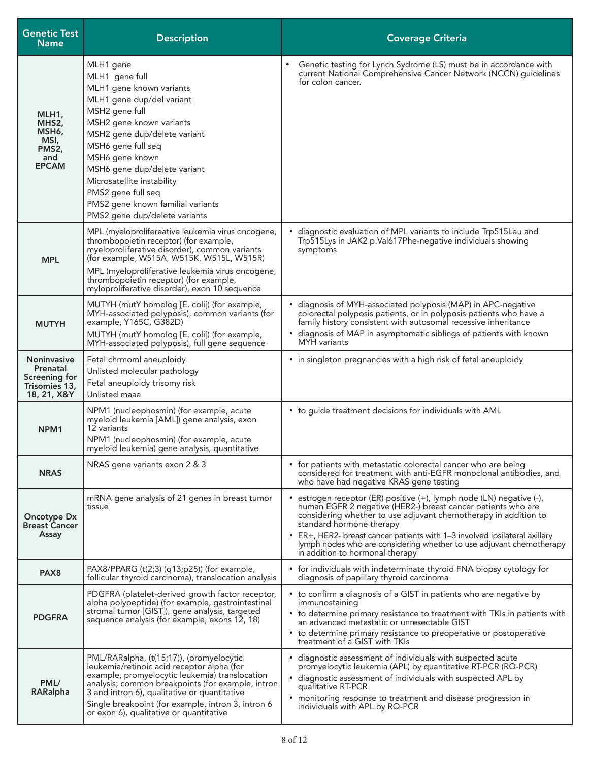| <b>Genetic Test</b><br><b>Name</b>                                              | <b>Description</b>                                                                                                                                                                                                                                                                                                                                                    | <b>Coverage Criteria</b>                                                                                                                                                                                                                                                                                                                                                                                                   |
|---------------------------------------------------------------------------------|-----------------------------------------------------------------------------------------------------------------------------------------------------------------------------------------------------------------------------------------------------------------------------------------------------------------------------------------------------------------------|----------------------------------------------------------------------------------------------------------------------------------------------------------------------------------------------------------------------------------------------------------------------------------------------------------------------------------------------------------------------------------------------------------------------------|
| MLH1,<br>MHS2,<br>MSH6,<br>MSI,<br>PMS2,<br>and<br><b>EPCAM</b>                 | MLH1 gene<br>MLH1 gene full<br>MLH1 gene known variants<br>MLH1 gene dup/del variant<br>MSH2 gene full<br>MSH2 gene known variants<br>MSH2 gene dup/delete variant<br>MSH6 gene full seq<br>MSH6 gene known<br>MSH6 gene dup/delete variant<br>Microsatellite instability<br>PMS2 gene full seq<br>PMS2 gene known familial variants<br>PMS2 gene dup/delete variants | Genetic testing for Lynch Sydrome (LS) must be in accordance with<br>current National Comprehensive Cancer Network (NCCN) guidelines<br>for colon cancer.                                                                                                                                                                                                                                                                  |
| <b>MPL</b>                                                                      | MPL (myeloprolifereative leukemia virus oncogene,<br>thrombopoietin receptor) (for example,<br>myeloproliferative disorder), common variants<br>(for example, W515A, W515K, W515L, W515R)<br>MPL (myeloproliferative leukemia virus oncogene,<br>thrombopoietin receptor) (for example,<br>myloproliferative disorder), exon 10 sequence                              | diagnostic evaluation of MPL variants to include Trp515Leu and<br>Trp515Lys in JAK2 p.Val617Phe-negative individuals showing<br>symptoms                                                                                                                                                                                                                                                                                   |
| <b>MUTYH</b>                                                                    | MUTYH (mutY homolog [E. coli]) (for example,<br>MYH-associated polyposis), common variants (for<br>example, Y165C, G382D)<br>MUTYH (mutY homolog [E. coli]) (for example,<br>MYH-associated polyposis), full gene sequence                                                                                                                                            | • diagnosis of MYH-associated polyposis (MAP) in APC-negative<br>colorectal polyposis patients, or in polyposis patients who have a<br>family history consistent with autosomal recessive inheritance<br>• diagnosis of MAP in asymptomatic siblings of patients with known<br>MYH variants                                                                                                                                |
| <b>Noninvasive</b><br>Prenatal<br>Screening for<br>Trisomies 13,<br>18, 21, X&Y | Fetal chrmoml aneuploidy<br>Unlisted molecular pathology<br>Fetal aneuploidy trisomy risk<br>Unlisted maaa                                                                                                                                                                                                                                                            | • in singleton pregnancies with a high risk of fetal aneuploidy                                                                                                                                                                                                                                                                                                                                                            |
| NPM <sub>1</sub>                                                                | NPM1 (nucleophosmin) (for example, acute<br>myeloid leukemia [AML]) gene analysis, exon<br>12 variants<br>NPM1 (nucleophosmin) (for example, acute<br>myeloid leukemia) gene analysis, quantitative                                                                                                                                                                   | • to guide treatment decisions for individuals with AML                                                                                                                                                                                                                                                                                                                                                                    |
| <b>NRAS</b>                                                                     | NRAS gene variants exon 2 & 3                                                                                                                                                                                                                                                                                                                                         | • for patients with metastatic colorectal cancer who are being<br>considered for treatment with anti-EGFR monoclonal antibodies, and<br>who have had negative KRAS gene testing                                                                                                                                                                                                                                            |
| <b>Oncotype Dx</b><br><b>Breast Cancer</b><br>Assay                             | mRNA gene analysis of 21 genes in breast tumor<br>tissue                                                                                                                                                                                                                                                                                                              | estrogen receptor (ER) positive (+), lymph node (LN) negative (-),<br>human EGFR 2 negative (HER2-) breast cancer patients who are<br>considering whether to use adjuvant chemotherapy in addition to<br>standard hormone therapy<br>• ER+, HER2- breast cancer patients with 1-3 involved ipsilateral axillary<br>lymph nodes who are considering whether to use adjuvant chemotherapy<br>in addition to hormonal therapy |
| PAX <sub>8</sub>                                                                | PAX8/PPARG (t(2;3) (q13;p25)) (for example,<br>follicular thyroid carcinoma), translocation analysis                                                                                                                                                                                                                                                                  | • for individuals with indeterminate thyroid FNA biopsy cytology for<br>diagnosis of papillary thyroid carcinoma                                                                                                                                                                                                                                                                                                           |
| <b>PDGFRA</b>                                                                   | PDGFRA (platelet-derived growth factor receptor,<br>alpha polypeptide) (for example, gastrointestinal<br>stromal tumor [GIST]), gene analysis, targeted<br>sequence analysis (for example, exons 12, 18)                                                                                                                                                              | • to confirm a diagnosis of a GIST in patients who are negative by<br>immunostaining<br>• to determine primary resistance to treatment with TKIs in patients with<br>an advanced metastatic or unresectable GIST<br>• to determine primary resistance to preoperative or postoperative<br>treatment of a GIST with TKIs                                                                                                    |
| PML/<br>RARalpha                                                                | PML/RARalpha, (t(15;17)), (promyelocytic<br>leukemia/retinoic acid receptor alpha (for<br>example, promyelocytic leukemia) translocation<br>analysis; common breakpoints (for example, intron<br>3 and intron 6), qualitative or quantitative<br>Single breakpoint (for example, intron 3, intron 6<br>or exon 6), qualitative or quantitative                        | • diagnostic assessment of individuals with suspected acute<br>promyelocytic leukemia (APL) by quantitative RT-PCR (RQ-PCR)<br>· diagnostic assessment of individuals with suspected APL by<br>qualitative RT-PCR<br>• monitoring response to treatment and disease progression in<br>individuals with APL by RQ-PCR                                                                                                       |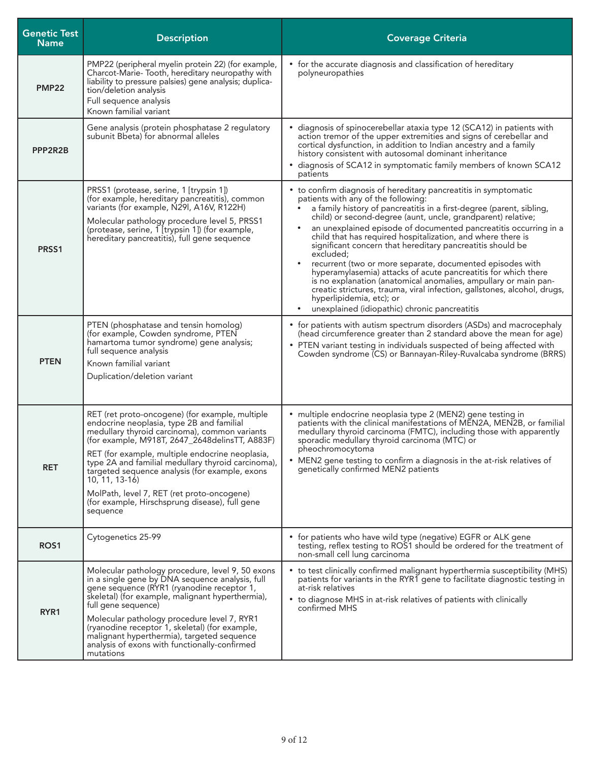| <b>Genetic Test</b><br><b>Name</b> | <b>Description</b>                                                                                                                                                                                                                                                                                                                                                                                                                                                                         | <b>Coverage Criteria</b>                                                                                                                                                                                                                                                                                                                                                                                                                                                                                                                                                                                                                                                                                                                                                                                                 |
|------------------------------------|--------------------------------------------------------------------------------------------------------------------------------------------------------------------------------------------------------------------------------------------------------------------------------------------------------------------------------------------------------------------------------------------------------------------------------------------------------------------------------------------|--------------------------------------------------------------------------------------------------------------------------------------------------------------------------------------------------------------------------------------------------------------------------------------------------------------------------------------------------------------------------------------------------------------------------------------------------------------------------------------------------------------------------------------------------------------------------------------------------------------------------------------------------------------------------------------------------------------------------------------------------------------------------------------------------------------------------|
| <b>PMP22</b>                       | PMP22 (peripheral myelin protein 22) (for example,<br>Charcot-Marie-Tooth, hereditary neuropathy with<br>liability to pressure palsies) gene analysis; duplica-<br>tion/deletion analysis<br>Full sequence analysis<br>Known familial variant                                                                                                                                                                                                                                              | • for the accurate diagnosis and classification of hereditary<br>polyneuropathies                                                                                                                                                                                                                                                                                                                                                                                                                                                                                                                                                                                                                                                                                                                                        |
| PPP2R2B                            | Gene analysis (protein phosphatase 2 regulatory<br>subunit Bbeta) for abnormal alleles                                                                                                                                                                                                                                                                                                                                                                                                     | • diagnosis of spinocerebellar ataxia type 12 (SCA12) in patients with<br>action tremor of the upper extremities and signs of cerebellar and<br>cortical dysfunction, in addition to Indian ancestry and a family<br>history consistent with autosomal dominant inheritance<br>• diagnosis of SCA12 in symptomatic family members of known SCA12<br>patients                                                                                                                                                                                                                                                                                                                                                                                                                                                             |
| PRSS1                              | PRSS1 (protease, serine, 1 [trypsin 1])<br>(for example, hereditary pancreatitis), common<br>variants (for example, N29I, A16V, R122H)<br>Molecular pathology procedure level 5, PRSS1<br>(protease, serine, 1 [trypsin 1]) (for example,<br>hereditary pancreatitis), full gene sequence                                                                                                                                                                                                  | • to confirm diagnosis of hereditary pancreatitis in symptomatic<br>patients with any of the following:<br>a family history of pancreatitis in a first-degree (parent, sibling,<br>child) or second-degree (aunt, uncle, grandparent) relative;<br>an unexplained episode of documented pancreatitis occurring in a<br>child that has required hospitalization, and where there is<br>significant concern that hereditary pancreatitis should be<br>excluded;<br>recurrent (two or more separate, documented episodes with<br>hyperamylasemia) attacks of acute pancreatitis for which there<br>is no explanation (anatomical anomalies, ampullary or main pan-<br>creatic strictures, trauma, viral infection, gallstones, alcohol, drugs,<br>hyperlipidemia, etc); or<br>unexplained (idiopathic) chronic pancreatitis |
| <b>PTEN</b>                        | PTEN (phosphatase and tensin homolog)<br>(for example, Cowden syndrome, PTEN<br>hamartoma tumor syndrome) gene analysis;<br>full sequence analysis<br>Known familial variant<br>Duplication/deletion variant                                                                                                                                                                                                                                                                               | • for patients with autism spectrum disorders (ASDs) and macrocephaly<br>(head circumference greater than 2 standard above the mean for age)<br>• PTEN variant testing in individuals suspected of being affected with<br>Cowden syndrome (CS) or Bannayan-Riley-Ruvalcaba syndrome (BRRS)                                                                                                                                                                                                                                                                                                                                                                                                                                                                                                                               |
| <b>RET</b>                         | RET (ret proto-oncogene) (for example, multiple<br>endocrine neoplasia, type 2B and familial<br>medullary thyroid carcinoma), common variants<br>(for example, M918T, 2647_2648 delinsTT, A883F)<br>RET (for example, multiple endocrine neoplasia,<br>type 2A and familial medullary thyroid carcinoma),<br>targeted sequence analysis (for example, exons<br>$10, 11, 13-16$<br>MolPath, level 7, RET (ret proto-oncogene)<br>(for example, Hirschsprung disease), full gene<br>sequence | · multiple endocrine neoplasia type 2 (MEN2) gene testing in<br>patients with the clinical manifestations of MEN2A, MEN2B, or familial<br>medullary thyroid carcinoma (FMTC), including those with apparently<br>sporadic medullary thyroid carcinoma (MTC) or<br>pheochromocytoma<br>• MEN2 gene testing to confirm a diagnosis in the at-risk relatives of<br>genetically confirmed MEN2 patients                                                                                                                                                                                                                                                                                                                                                                                                                      |
| ROS <sub>1</sub>                   | Cytogenetics 25-99                                                                                                                                                                                                                                                                                                                                                                                                                                                                         | • for patients who have wild type (negative) EGFR or ALK gene<br>testing, reflex testing to ROS1 should be ordered for the treatment of<br>non-small cell lung carcinoma                                                                                                                                                                                                                                                                                                                                                                                                                                                                                                                                                                                                                                                 |
| RYR1                               | Molecular pathology procedure, level 9, 50 exons<br>in a single gene by DNA sequence analysis, full<br>gene sequence (RYR1 (ryanodine receptor 1,<br>skeletal) (for example, malignant hyperthermia),<br>full gene sequence)<br>Molecular pathology procedure level 7, RYR1<br>(ryanodine receptor 1, skeletal) (for example,<br>malignant hyperthermia), targeted sequence<br>analysis of exons with functionally-confirmed<br>mutations                                                  | • to test clinically confirmed malignant hyperthermia susceptibility (MHS)<br>patients for variants in the RYR1 gene to facilitate diagnostic testing in<br>at-risk relatives<br>• to diagnose MHS in at-risk relatives of patients with clinically<br>confirmed MHS                                                                                                                                                                                                                                                                                                                                                                                                                                                                                                                                                     |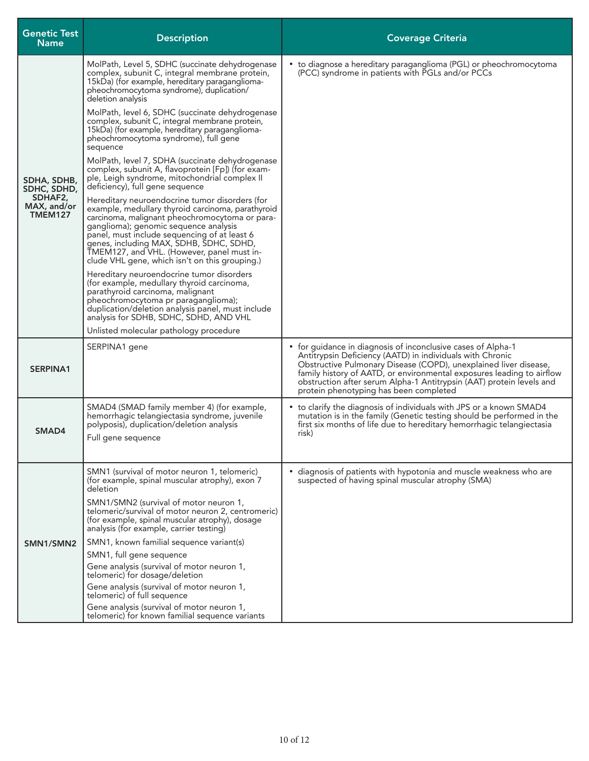| <b>Genetic Test</b><br><b>Name</b> | <b>Description</b>                                                                                                                                                                                                                                                                                                                                                                        | <b>Coverage Criteria</b>                                                                                                                                                                                                                                                                                                                                                                 |
|------------------------------------|-------------------------------------------------------------------------------------------------------------------------------------------------------------------------------------------------------------------------------------------------------------------------------------------------------------------------------------------------------------------------------------------|------------------------------------------------------------------------------------------------------------------------------------------------------------------------------------------------------------------------------------------------------------------------------------------------------------------------------------------------------------------------------------------|
|                                    | MolPath, Level 5, SDHC (succinate dehydrogenase<br>complex, subunit C, integral membrane protein,<br>15kDa) (for example, hereditary paraganglioma-<br>pheochromocytoma syndrome), duplication/<br>deletion analysis                                                                                                                                                                      | • to diagnose a hereditary paraganglioma (PGL) or pheochromocytoma<br>(PCC) syndrome in patients with PGLs and/or PCCs                                                                                                                                                                                                                                                                   |
|                                    | MolPath, level 6, SDHC (succinate dehydrogenase<br>complex, subunit C, integral membrane protein,<br>15kDa) (for example, hereditary paraganglioma-<br>pheochromocytoma syndrome), full gene<br>sequence                                                                                                                                                                                  |                                                                                                                                                                                                                                                                                                                                                                                          |
| SDHA, SDHB,<br>SDHC, SDHD,         | MolPath, level 7, SDHA (succinate dehydrogenase<br>complex, subunit A, flavoprotein [Fp]) (for exam-<br>ple, Leigh syndrome, mitochondrial complex II<br>deficiency), full gene sequence                                                                                                                                                                                                  |                                                                                                                                                                                                                                                                                                                                                                                          |
| SDHAF2,<br>MAX, and/or<br>TMEM127  | Hereditary neuroendocrine tumor disorders (for<br>example, medullary thyroid carcinoma, parathyroid<br>carcinoma, malignant pheochromocytoma or para-<br>ganglioma); genomic sequence analysis<br>panel, must include sequencing of at least 6<br>genes, including MAX, SDHB, SDHC, SDHD,<br>TMEM127, and VHL. (However, panel must in-<br>clude VHL gene, which isn't on this grouping.) |                                                                                                                                                                                                                                                                                                                                                                                          |
|                                    | Hereditary neuroendocrine tumor disorders<br>(for example, medullary thyroid carcinoma,<br>parathyroid carcinoma, malignant<br>pheochromocytoma pr paraganglioma);<br>duplication/deletion analysis panel, must include<br>analysis for SDHB, SDHC, SDHD, AND VHL                                                                                                                         |                                                                                                                                                                                                                                                                                                                                                                                          |
|                                    | Unlisted molecular pathology procedure                                                                                                                                                                                                                                                                                                                                                    |                                                                                                                                                                                                                                                                                                                                                                                          |
| <b>SERPINA1</b>                    | SERPINA1 gene                                                                                                                                                                                                                                                                                                                                                                             | • for guidance in diagnosis of inconclusive cases of Alpha-1<br>Antitrypsin Deficiency (AATD) in individuals with Chronic<br>Obstructive Pulmonary Disease (COPD), unexplained liver disease,<br>family history of AATD, or environmental exposures leading to airflow<br>obstruction after serum Alpha-1 Antitrypsin (AAT) protein levels and<br>protein phenotyping has been completed |
| SMAD4                              | SMAD4 (SMAD family member 4) (for example,<br>hemorrhagic telangiectasia syndrome, juvenile<br>polyposis), duplication/deletion analysis<br>Full gene sequence                                                                                                                                                                                                                            | • to clarify the diagnosis of individuals with JPS or a known SMAD4<br>mutation is in the family (Genetic testing should be performed in the<br>first six months of life due to hereditary hemorrhagic telangiectasia<br>risk)                                                                                                                                                           |
|                                    | SMN1 (survival of motor neuron 1, telomeric)<br>(for example, spinal muscular atrophy), exon 7<br>deletion                                                                                                                                                                                                                                                                                | • diagnosis of patients with hypotonia and muscle weakness who are<br>suspected of having spinal muscular atrophy (SMA)                                                                                                                                                                                                                                                                  |
| SMN1/SMN2                          | SMN1/SMN2 (survival of motor neuron 1,<br>telomeric/survival of motor neuron 2, centromeric)<br>(for example, spinal muscular atrophy), dosage<br>analysis (for example, carrier testing)                                                                                                                                                                                                 |                                                                                                                                                                                                                                                                                                                                                                                          |
|                                    | SMN1, known familial sequence variant(s)                                                                                                                                                                                                                                                                                                                                                  |                                                                                                                                                                                                                                                                                                                                                                                          |
|                                    | SMN1, full gene sequence                                                                                                                                                                                                                                                                                                                                                                  |                                                                                                                                                                                                                                                                                                                                                                                          |
|                                    | Gene analysis (survival of motor neuron 1,<br>telomeric) for dosage/deletion                                                                                                                                                                                                                                                                                                              |                                                                                                                                                                                                                                                                                                                                                                                          |
|                                    | Gene analysis (survival of motor neuron 1,<br>telomeric) of full sequence                                                                                                                                                                                                                                                                                                                 |                                                                                                                                                                                                                                                                                                                                                                                          |
|                                    | Gene analysis (survival of motor neuron 1,<br>telomeric) for known familial sequence variants                                                                                                                                                                                                                                                                                             |                                                                                                                                                                                                                                                                                                                                                                                          |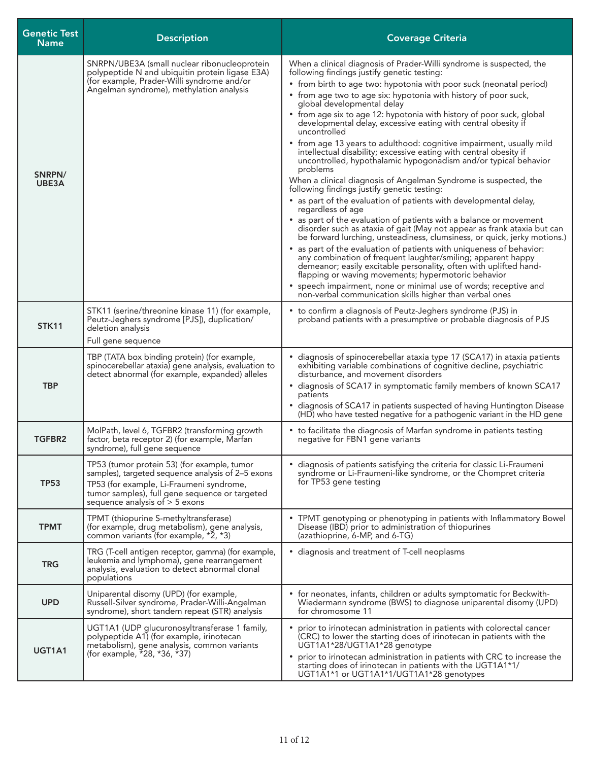| <b>Genetic Test</b><br><b>Name</b> | <b>Description</b>                                                                                                                                                                                                                 | <b>Coverage Criteria</b>                                                                                                                                                                                                                                                                                                                                                                                                                                                                                                                                                                                                                                                                                                                                                                                                                                                                                                                                                                                                                                                                                                                                                                                                                                                                                                                                                                                                                                                                                                     |
|------------------------------------|------------------------------------------------------------------------------------------------------------------------------------------------------------------------------------------------------------------------------------|------------------------------------------------------------------------------------------------------------------------------------------------------------------------------------------------------------------------------------------------------------------------------------------------------------------------------------------------------------------------------------------------------------------------------------------------------------------------------------------------------------------------------------------------------------------------------------------------------------------------------------------------------------------------------------------------------------------------------------------------------------------------------------------------------------------------------------------------------------------------------------------------------------------------------------------------------------------------------------------------------------------------------------------------------------------------------------------------------------------------------------------------------------------------------------------------------------------------------------------------------------------------------------------------------------------------------------------------------------------------------------------------------------------------------------------------------------------------------------------------------------------------------|
| SNRPN/<br>UBE3A                    | SNRPN/UBE3A (small nuclear ribonucleoprotein<br>polypeptide N and ubiquitin protein ligase E3A)<br>(for example, Prader-Willi syndrome and/or<br>Angelman syndrome), methylation analysis                                          | When a clinical diagnosis of Prader-Willi syndrome is suspected, the<br>following findings justify genetic testing:<br>• from birth to age two: hypotonia with poor suck (neonatal period)<br>• from age two to age six: hypotonia with history of poor suck,<br>global developmental delay<br>• from age six to age 12: hypotonia with history of poor suck, global<br>developmental delay, excessive eating with central obesity if<br>uncontrolled<br>• from age 13 years to adulthood: cognitive impairment, usually mild<br>intellectual disability; excessive eating with central obesity if<br>uncontrolled, hypothalamic hypogonadism and/or typical behavior<br>problems<br>When a clinical diagnosis of Angelman Syndrome is suspected, the<br>following findings justify genetic testing:<br>• as part of the evaluation of patients with developmental delay,<br>regardless of age<br>• as part of the evaluation of patients with a balance or movement<br>disorder such as ataxia of gait (May not appear as frank ataxia but can<br>be forward lurching, unsteadiness, clumsiness, or quick, jerky motions.)<br>as part of the evaluation of patients with uniqueness of behavior:<br>any combination of frequent laughter/smiling; apparent happy<br>demeanor; easily excitable personality, often with uplifted hand-<br>flapping or waving movements; hypermotoric behavior<br>• speech impairment, none or minimal use of words; receptive and<br>non-verbal communication skills higher than verbal ones |
| <b>STK11</b>                       | STK11 (serine/threonine kinase 11) (for example,<br>Peutz-Jeghers syndrome [PJS]), duplication/<br>deletion analysis<br>Full gene sequence                                                                                         | • to confirm a diagnosis of Peutz-Jeghers syndrome (PJS) in<br>proband patients with a presumptive or probable diagnosis of PJS                                                                                                                                                                                                                                                                                                                                                                                                                                                                                                                                                                                                                                                                                                                                                                                                                                                                                                                                                                                                                                                                                                                                                                                                                                                                                                                                                                                              |
| <b>TBP</b>                         | TBP (TATA box binding protein) (for example,<br>spinocerebellar ataxia) gene analysis, evaluation to<br>detect abnormal (for example, expanded) alleles                                                                            | · diagnosis of spinocerebellar ataxia type 17 (SCA17) in ataxia patients<br>exhibiting variable combinations of cognitive decline, psychiatric<br>disturbance, and movement disorders<br>• diagnosis of SCA17 in symptomatic family members of known SCA17<br>patients<br>• diagnosis of SCA17 in patients suspected of having Huntington Disease<br>(HD) who have tested negative for a pathogenic variant in the HD gene                                                                                                                                                                                                                                                                                                                                                                                                                                                                                                                                                                                                                                                                                                                                                                                                                                                                                                                                                                                                                                                                                                   |
| TGFBR2                             | MolPath, level 6, TGFBR2 (transforming growth<br>factor, beta receptor 2) (for example, Marfan<br>syndrome), full gene sequence                                                                                                    | • to facilitate the diagnosis of Marfan syndrome in patients testing<br>negative for FBN1 gene variants                                                                                                                                                                                                                                                                                                                                                                                                                                                                                                                                                                                                                                                                                                                                                                                                                                                                                                                                                                                                                                                                                                                                                                                                                                                                                                                                                                                                                      |
| <b>TP53</b>                        | TP53 (tumor protein 53) (for example, tumor<br>samples), targeted sequence analysis of 2-5 exons<br>TP53 (for example, Li-Fraumeni syndrome,<br>tumor samples), full gene sequence or targeted<br>sequence analysis of $>$ 5 exons | · diagnosis of patients satisfying the criteria for classic Li-Fraumeni<br>syndrome or Li-Fraumeni-like syndrome, or the Chompret criteria<br>for TP53 gene testing                                                                                                                                                                                                                                                                                                                                                                                                                                                                                                                                                                                                                                                                                                                                                                                                                                                                                                                                                                                                                                                                                                                                                                                                                                                                                                                                                          |
| <b>TPMT</b>                        | TPMT (thiopurine S-methyltransferase)<br>(for example, drug metabolism), gene analysis,<br>common variants (for example, *2, *3)                                                                                                   | • TPMT genotyping or phenotyping in patients with Inflammatory Bowel<br>Disease (IBD) prior to administration of thiopurines<br>(azathioprine, 6-MP, and 6-TG)                                                                                                                                                                                                                                                                                                                                                                                                                                                                                                                                                                                                                                                                                                                                                                                                                                                                                                                                                                                                                                                                                                                                                                                                                                                                                                                                                               |
| <b>TRG</b>                         | TRG (T-cell antigen receptor, gamma) (for example,<br>leukemia and lymphoma), gene rearrangement<br>analysis, evaluation to detect abnormal clonal<br>populations                                                                  | • diagnosis and treatment of T-cell neoplasms                                                                                                                                                                                                                                                                                                                                                                                                                                                                                                                                                                                                                                                                                                                                                                                                                                                                                                                                                                                                                                                                                                                                                                                                                                                                                                                                                                                                                                                                                |
| <b>UPD</b>                         | Uniparental disomy (UPD) (for example,<br>Russell-Silver syndrome, Prader-Willi-Angelman<br>syndrome), short tandem repeat (STR) analysis                                                                                          | • for neonates, infants, children or adults symptomatic for Beckwith-<br>Wiedermann syndrome (BWS) to diagnose uniparental disomy (UPD)<br>for chromosome 11                                                                                                                                                                                                                                                                                                                                                                                                                                                                                                                                                                                                                                                                                                                                                                                                                                                                                                                                                                                                                                                                                                                                                                                                                                                                                                                                                                 |
| UGT1A1                             | UGT1A1 (UDP glucuronosyltransferase 1 family,<br>polypeptide A1) (for example, irinotecan<br>metabolism), gene analysis, common variants<br>(for example, $*28$ , *36, *37)                                                        | prior to irinotecan administration in patients with colorectal cancer<br>(CRC) to lower the starting does of irinotecan in patients with the<br>UGT1A1*28/UGT1A1*28 genotype<br>prior to irinotecan administration in patients with CRC to increase the<br>starting does of irinotecan in patients with the UGT1A1*1/<br>UGT1A1*1 or UGT1A1*1/UGT1A1*28 genotypes                                                                                                                                                                                                                                                                                                                                                                                                                                                                                                                                                                                                                                                                                                                                                                                                                                                                                                                                                                                                                                                                                                                                                            |